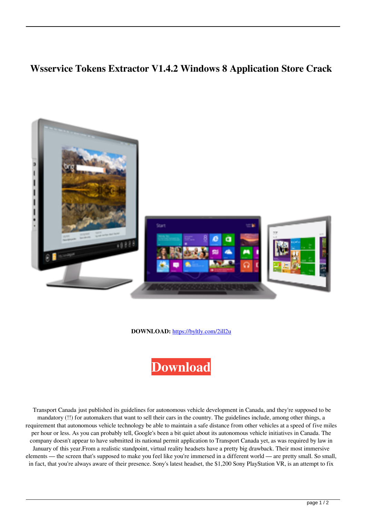## **Wsservice Tokens Extractor V1.4.2 Windows 8 Application Store Crack**



**DOWNLOAD:** <https://byltly.com/2ill2u>



 Transport Canada just published its guidelines for autonomous vehicle development in Canada, and they're supposed to be mandatory (!!) for automakers that want to sell their cars in the country. The guidelines include, among other things, a requirement that autonomous vehicle technology be able to maintain a safe distance from other vehicles at a speed of five miles per hour or less. As you can probably tell, Google's been a bit quiet about its autonomous vehicle initiatives in Canada. The company doesn't appear to have submitted its national permit application to Transport Canada yet, as was required by law in January of this year.From a realistic standpoint, virtual reality headsets have a pretty big drawback. Their most immersive elements — the screen that's supposed to make you feel like you're immersed in a different world — are pretty small. So small, in fact, that you're always aware of their presence. Sony's latest headset, the \$1,200 Sony PlayStation VR, is an attempt to fix